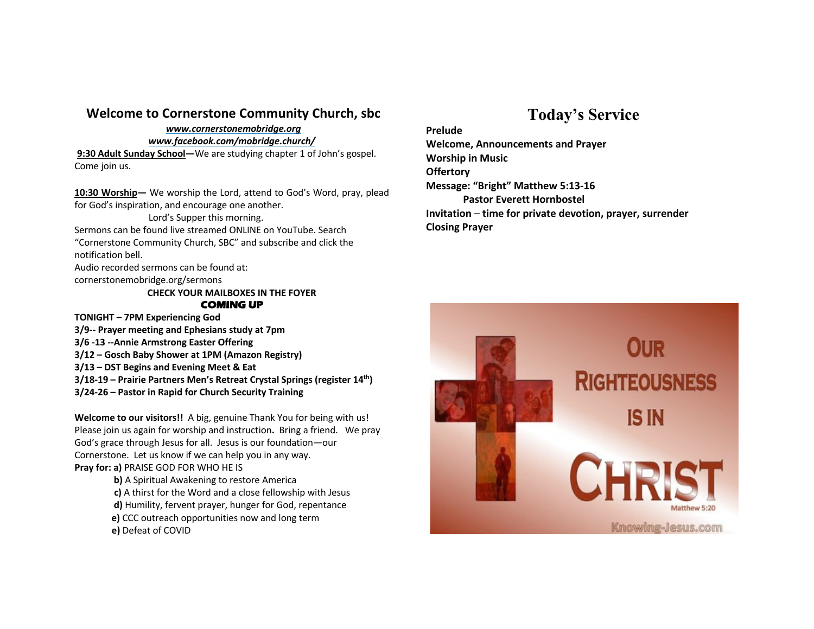## **Welcome to Cornerstone Community Church, sbc**

*www.cornerstonemobridge.org*

*www.facebook.com/mobridge.church/*

**9:30 Adult Sunday School—**We are studying chapter 1 of John's gospel. Come join us.

**10:30 Worship—** We worship the Lord, attend to God's Word, pray, plead for God's inspiration, and encourage one another.

Lord's Supper this morning. Sermons can be found live streamed ONLINE on YouTube. Search "Cornerstone Community Church, SBC" and subscribe and click the notification bell.

Audio recorded sermons can be found at: cornerstonemobridge.org/sermons

**CHECK YOUR MAILBOXES IN THE FOYER COMING UP** 

**TONIGHT – 7PM Experiencing God**

**3/9-- Prayer meeting and Ephesians study at 7pm**

- **3/6 -13 --Annie Armstrong Easter Offering**
- **3/12 – Gosch Baby Shower at 1PM (Amazon Registry)**
- **3/13 – DST Begins and Evening Meet & Eat**
- **3/18-19 – Prairie Partners Men's Retreat Crystal Springs (register 14th)**
- **3/24-26 – Pastor in Rapid for Church Security Training**

**Welcome to our visitors!!** A big, genuine Thank You for being with us! Please join us again for worship and instruction**.** Bring a friend. We pray God's grace through Jesus for all. Jesus is our foundation—our Cornerstone. Let us know if we can help you in any way. **Pray for: a)** PRAISE GOD FOR WHO HE IS

> **b)** A Spiritual Awakening to restore America **c)** A thirst for the Word and a close fellowship with Jesus **d)** Humility, fervent prayer, hunger for God, repentance **e)** CCC outreach opportunities now and long term **e)** Defeat of COVID

## **Today's Service**

**Prelude Welcome, Announcements and Prayer Worship in Music Offertory Message: "Bright" Matthew 5:13-16 Pastor Everett Hornbostel Invitation** – **time for private devotion, prayer, surrender Closing Prayer**